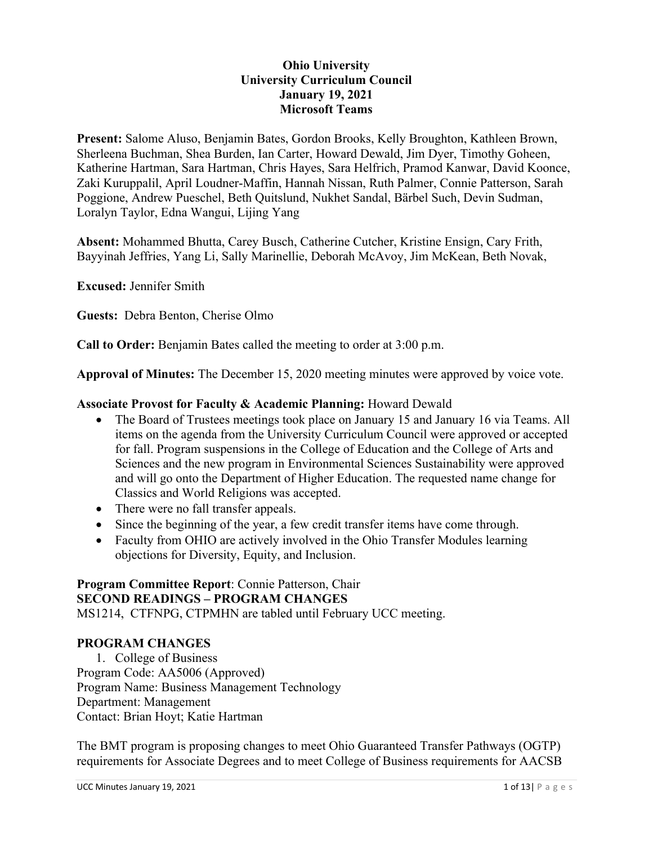#### **Ohio University University Curriculum Council January 19, 2021 Microsoft Teams**

**Present:** Salome Aluso, Benjamin Bates, Gordon Brooks, Kelly Broughton, Kathleen Brown, Sherleena Buchman, Shea Burden, Ian Carter, Howard Dewald, Jim Dyer, Timothy Goheen, Katherine Hartman, Sara Hartman, Chris Hayes, Sara Helfrich, Pramod Kanwar, David Koonce, Zaki Kuruppalil, April Loudner-Maffin, Hannah Nissan, Ruth Palmer, Connie Patterson, Sarah Poggione, Andrew Pueschel, Beth Quitslund, Nukhet Sandal, Bärbel Such, Devin Sudman, Loralyn Taylor, Edna Wangui, Lijing Yang

**Absent:** Mohammed Bhutta, Carey Busch, Catherine Cutcher, Kristine Ensign, Cary Frith, Bayyinah Jeffries, Yang Li, Sally Marinellie, Deborah McAvoy, Jim McKean, Beth Novak,

**Excused:** Jennifer Smith

**Guests:** Debra Benton, Cherise Olmo

**Call to Order:** Benjamin Bates called the meeting to order at 3:00 p.m.

**Approval of Minutes:** The December 15, 2020 meeting minutes were approved by voice vote.

#### **Associate Provost for Faculty & Academic Planning:** Howard Dewald

- The Board of Trustees meetings took place on January 15 and January 16 via Teams. All items on the agenda from the University Curriculum Council were approved or accepted for fall. Program suspensions in the College of Education and the College of Arts and Sciences and the new program in Environmental Sciences Sustainability were approved and will go onto the Department of Higher Education. The requested name change for Classics and World Religions was accepted.
- There were no fall transfer appeals.
- Since the beginning of the year, a few credit transfer items have come through.
- Faculty from OHIO are actively involved in the Ohio Transfer Modules learning objections for Diversity, Equity, and Inclusion.

## **Program Committee Report**: Connie Patterson, Chair **SECOND READINGS – PROGRAM CHANGES**

MS1214, CTFNPG, CTPMHN are tabled until February UCC meeting.

#### **PROGRAM CHANGES**

1. College of Business Program Code: AA5006 (Approved) Program Name: Business Management Technology Department: Management Contact: Brian Hoyt; Katie Hartman

The BMT program is proposing changes to meet Ohio Guaranteed Transfer Pathways (OGTP) requirements for Associate Degrees and to meet College of Business requirements for AACSB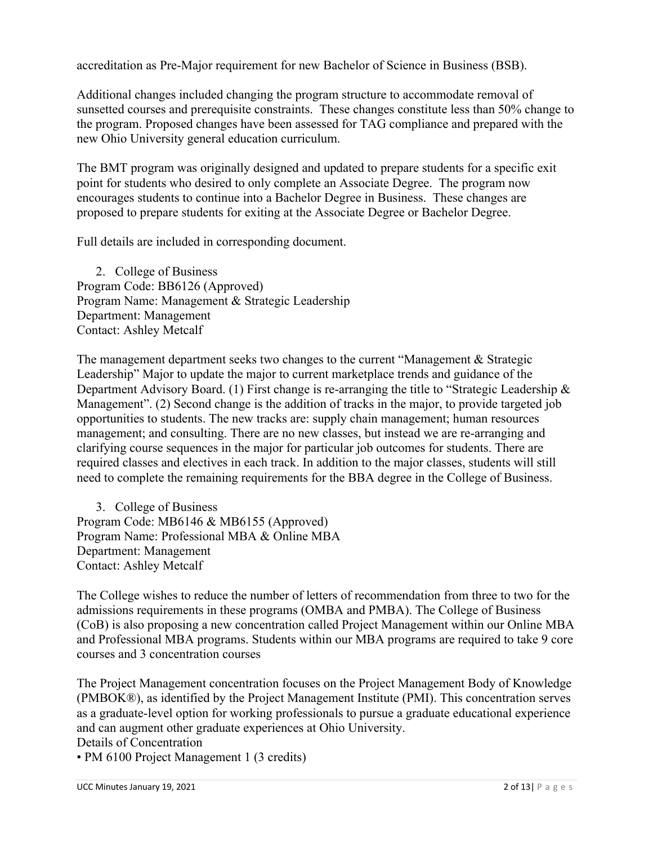accreditation as Pre-Major requirement for new Bachelor of Science in Business (BSB).

Additional changes included changing the program structure to accommodate removal of sunsetted courses and prerequisite constraints. These changes constitute less than 50% change to the program. Proposed changes have been assessed for TAG compliance and prepared with the new Ohio University general education curriculum.

The BMT program was originally designed and updated to prepare students for a specific exit point for students who desired to only complete an Associate Degree. The program now encourages students to continue into a Bachelor Degree in Business. These changes are proposed to prepare students for exiting at the Associate Degree or Bachelor Degree.

Full details are included in corresponding document.

2. College of Business Program Code: BB6126 (Approved) Program Name: Management & Strategic Leadership Department: Management Contact: Ashley Metcalf

The management department seeks two changes to the current "Management & Strategic Leadership" Major to update the major to current marketplace trends and guidance of the Department Advisory Board. (1) First change is re-arranging the title to "Strategic Leadership & Management". (2) Second change is the addition of tracks in the major, to provide targeted job opportunities to students. The new tracks are: supply chain management; human resources management; and consulting. There are no new classes, but instead we are re-arranging and clarifying course sequences in the major for particular job outcomes for students. There are required classes and electives in each track. In addition to the major classes, students will still need to complete the remaining requirements for the BBA degree in the College of Business.

3. College of Business Program Code: MB6146 & MB6155 (Approved) Program Name: Professional MBA & Online MBA Department: Management Contact: Ashley Metcalf

The College wishes to reduce the number of letters of recommendation from three to two for the admissions requirements in these programs (OMBA and PMBA). The College of Business (CoB) is also proposing a new concentration called Project Management within our Online MBA and Professional MBA programs. Students within our MBA programs are required to take 9 core courses and 3 concentration courses

The Project Management concentration focuses on the Project Management Body of Knowledge (PMBOK®), as identified by the Project Management Institute (PMI). This concentration serves as a graduate-level option for working professionals to pursue a graduate educational experience and can augment other graduate experiences at Ohio University. Details of Concentration

• PM 6100 Project Management 1 (3 credits)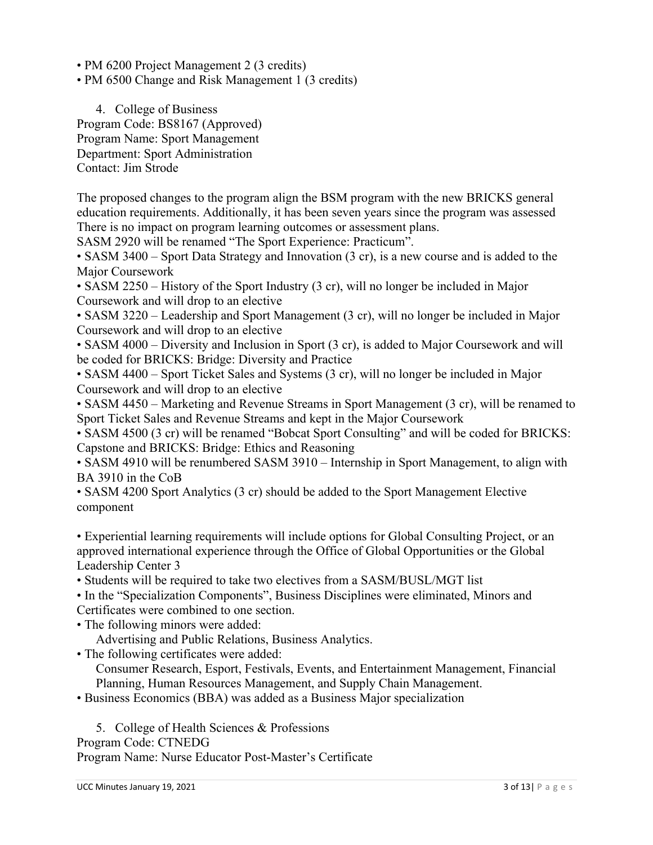• PM 6200 Project Management 2 (3 credits)

• PM 6500 Change and Risk Management 1 (3 credits)

4. College of Business Program Code: BS8167 (Approved) Program Name: Sport Management Department: Sport Administration Contact: Jim Strode

The proposed changes to the program align the BSM program with the new BRICKS general education requirements. Additionally, it has been seven years since the program was assessed There is no impact on program learning outcomes or assessment plans.

SASM 2920 will be renamed "The Sport Experience: Practicum".

• SASM 3400 – Sport Data Strategy and Innovation (3 cr), is a new course and is added to the Major Coursework

• SASM 2250 – History of the Sport Industry (3 cr), will no longer be included in Major Coursework and will drop to an elective

• SASM 3220 – Leadership and Sport Management (3 cr), will no longer be included in Major Coursework and will drop to an elective

• SASM 4000 – Diversity and Inclusion in Sport (3 cr), is added to Major Coursework and will be coded for BRICKS: Bridge: Diversity and Practice

• SASM 4400 – Sport Ticket Sales and Systems (3 cr), will no longer be included in Major Coursework and will drop to an elective

• SASM 4450 – Marketing and Revenue Streams in Sport Management (3 cr), will be renamed to Sport Ticket Sales and Revenue Streams and kept in the Major Coursework

• SASM 4500 (3 cr) will be renamed "Bobcat Sport Consulting" and will be coded for BRICKS: Capstone and BRICKS: Bridge: Ethics and Reasoning

• SASM 4910 will be renumbered SASM 3910 – Internship in Sport Management, to align with BA 3910 in the CoB

• SASM 4200 Sport Analytics (3 cr) should be added to the Sport Management Elective component

• Experiential learning requirements will include options for Global Consulting Project, or an approved international experience through the Office of Global Opportunities or the Global Leadership Center 3

• Students will be required to take two electives from a SASM/BUSL/MGT list

• In the "Specialization Components", Business Disciplines were eliminated, Minors and Certificates were combined to one section.

• The following minors were added:

Advertising and Public Relations, Business Analytics.

• The following certificates were added:

Consumer Research, Esport, Festivals, Events, and Entertainment Management, Financial Planning, Human Resources Management, and Supply Chain Management.

• Business Economics (BBA) was added as a Business Major specialization

5. College of Health Sciences & Professions Program Code: CTNEDG Program Name: Nurse Educator Post-Master's Certificate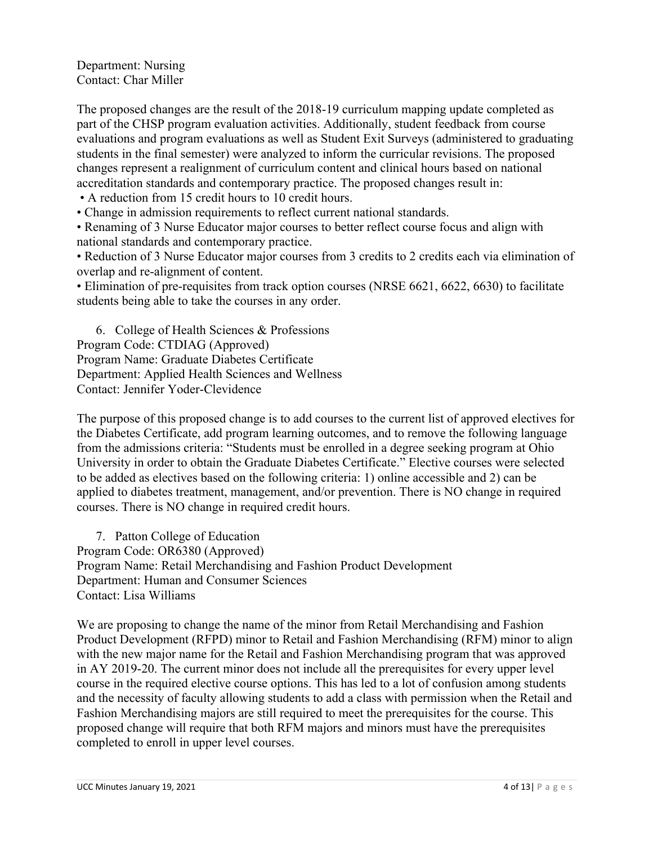Department: Nursing Contact: Char Miller

The proposed changes are the result of the 2018-19 curriculum mapping update completed as part of the CHSP program evaluation activities. Additionally, student feedback from course evaluations and program evaluations as well as Student Exit Surveys (administered to graduating students in the final semester) were analyzed to inform the curricular revisions. The proposed changes represent a realignment of curriculum content and clinical hours based on national accreditation standards and contemporary practice. The proposed changes result in:

• A reduction from 15 credit hours to 10 credit hours.

• Change in admission requirements to reflect current national standards.

• Renaming of 3 Nurse Educator major courses to better reflect course focus and align with national standards and contemporary practice.

• Reduction of 3 Nurse Educator major courses from 3 credits to 2 credits each via elimination of overlap and re-alignment of content.

• Elimination of pre-requisites from track option courses (NRSE 6621, 6622, 6630) to facilitate students being able to take the courses in any order.

6. College of Health Sciences & Professions Program Code: CTDIAG (Approved) Program Name: Graduate Diabetes Certificate Department: Applied Health Sciences and Wellness Contact: Jennifer Yoder-Clevidence

The purpose of this proposed change is to add courses to the current list of approved electives for the Diabetes Certificate, add program learning outcomes, and to remove the following language from the admissions criteria: "Students must be enrolled in a degree seeking program at Ohio University in order to obtain the Graduate Diabetes Certificate." Elective courses were selected to be added as electives based on the following criteria: 1) online accessible and 2) can be applied to diabetes treatment, management, and/or prevention. There is NO change in required courses. There is NO change in required credit hours.

7. Patton College of Education Program Code: OR6380 (Approved) Program Name: Retail Merchandising and Fashion Product Development Department: Human and Consumer Sciences Contact: Lisa Williams

We are proposing to change the name of the minor from Retail Merchandising and Fashion Product Development (RFPD) minor to Retail and Fashion Merchandising (RFM) minor to align with the new major name for the Retail and Fashion Merchandising program that was approved in AY 2019-20. The current minor does not include all the prerequisites for every upper level course in the required elective course options. This has led to a lot of confusion among students and the necessity of faculty allowing students to add a class with permission when the Retail and Fashion Merchandising majors are still required to meet the prerequisites for the course. This proposed change will require that both RFM majors and minors must have the prerequisites completed to enroll in upper level courses.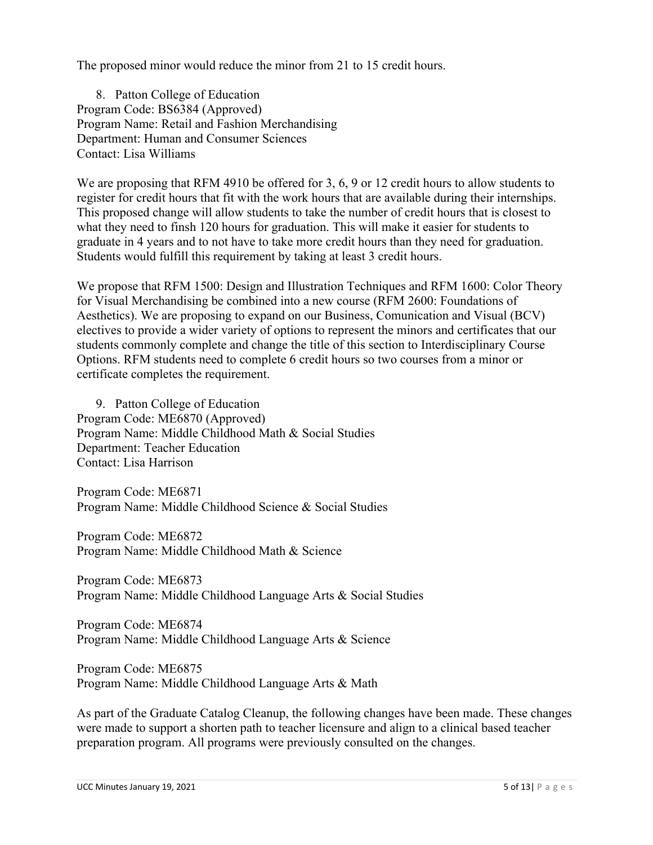The proposed minor would reduce the minor from 21 to 15 credit hours.

8. Patton College of Education Program Code: BS6384 (Approved) Program Name: Retail and Fashion Merchandising Department: Human and Consumer Sciences Contact: Lisa Williams

We are proposing that RFM 4910 be offered for 3, 6, 9 or 12 credit hours to allow students to register for credit hours that fit with the work hours that are available during their internships. This proposed change will allow students to take the number of credit hours that is closest to what they need to finsh 120 hours for graduation. This will make it easier for students to graduate in 4 years and to not have to take more credit hours than they need for graduation. Students would fulfill this requirement by taking at least 3 credit hours.

We propose that RFM 1500: Design and Illustration Techniques and RFM 1600: Color Theory for Visual Merchandising be combined into a new course (RFM 2600: Foundations of Aesthetics). We are proposing to expand on our Business, Comunication and Visual (BCV) electives to provide a wider variety of options to represent the minors and certificates that our students commonly complete and change the title of this section to Interdisciplinary Course Options. RFM students need to complete 6 credit hours so two courses from a minor or certificate completes the requirement.

9. Patton College of Education Program Code: ME6870 (Approved) Program Name: Middle Childhood Math & Social Studies Department: Teacher Education Contact: Lisa Harrison

Program Code: ME6871 Program Name: Middle Childhood Science & Social Studies

Program Code: ME6872 Program Name: Middle Childhood Math & Science

Program Code: ME6873 Program Name: Middle Childhood Language Arts & Social Studies

Program Code: ME6874 Program Name: Middle Childhood Language Arts & Science

Program Code: ME6875 Program Name: Middle Childhood Language Arts & Math

As part of the Graduate Catalog Cleanup, the following changes have been made. These changes were made to support a shorten path to teacher licensure and align to a clinical based teacher preparation program. All programs were previously consulted on the changes.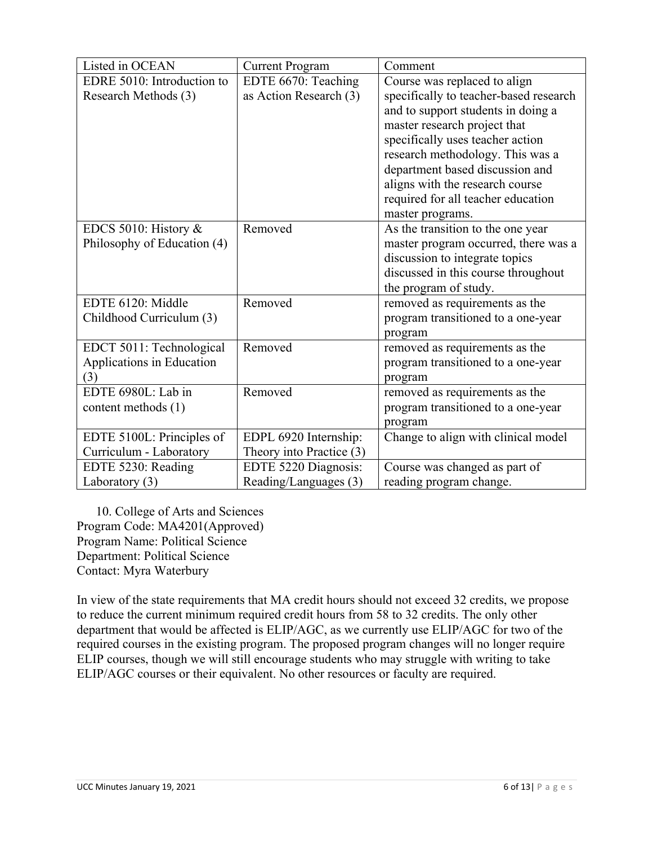| Listed in OCEAN             | <b>Current Program</b>   | Comment                                |
|-----------------------------|--------------------------|----------------------------------------|
| EDRE 5010: Introduction to  | EDTE 6670: Teaching      | Course was replaced to align           |
| Research Methods (3)        | as Action Research (3)   | specifically to teacher-based research |
|                             |                          | and to support students in doing a     |
|                             |                          | master research project that           |
|                             |                          | specifically uses teacher action       |
|                             |                          | research methodology. This was a       |
|                             |                          | department based discussion and        |
|                             |                          | aligns with the research course        |
|                             |                          | required for all teacher education     |
|                             |                          | master programs.                       |
| EDCS 5010: History &        | Removed                  | As the transition to the one year      |
| Philosophy of Education (4) |                          | master program occurred, there was a   |
|                             |                          | discussion to integrate topics         |
|                             |                          | discussed in this course throughout    |
|                             |                          | the program of study.                  |
| EDTE 6120: Middle           | Removed                  | removed as requirements as the         |
| Childhood Curriculum (3)    |                          | program transitioned to a one-year     |
|                             |                          | program                                |
| EDCT 5011: Technological    | Removed                  | removed as requirements as the         |
| Applications in Education   |                          | program transitioned to a one-year     |
| (3)                         |                          | program                                |
| EDTE 6980L: Lab in          | Removed                  | removed as requirements as the         |
| content methods (1)         |                          | program transitioned to a one-year     |
|                             |                          | program                                |
| EDTE 5100L: Principles of   | EDPL 6920 Internship:    | Change to align with clinical model    |
| Curriculum - Laboratory     | Theory into Practice (3) |                                        |
| EDTE 5230: Reading          | EDTE 5220 Diagnosis:     | Course was changed as part of          |
| Laboratory $(3)$            | Reading/Languages (3)    | reading program change.                |

10. College of Arts and Sciences Program Code: MA4201(Approved) Program Name: Political Science Department: Political Science Contact: Myra Waterbury

In view of the state requirements that MA credit hours should not exceed 32 credits, we propose to reduce the current minimum required credit hours from 58 to 32 credits. The only other department that would be affected is ELIP/AGC, as we currently use ELIP/AGC for two of the required courses in the existing program. The proposed program changes will no longer require ELIP courses, though we will still encourage students who may struggle with writing to take ELIP/AGC courses or their equivalent. No other resources or faculty are required.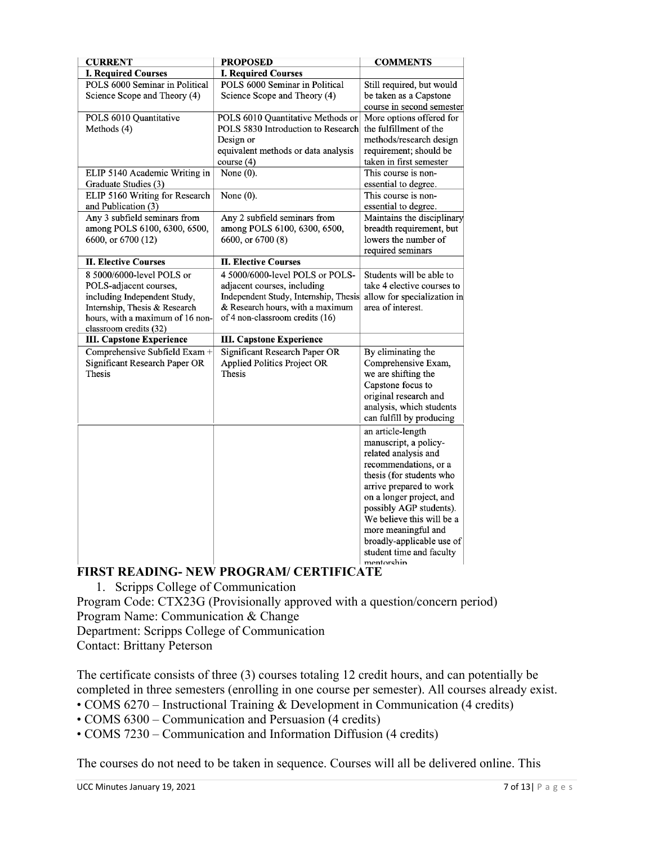| <b>CURRENT</b>                                                                                                                                                                     | <b>PROPOSED</b>                                                                                                                                                                | <b>COMMENTS</b>                                                                                                                                                                                                                                                                                                                      |
|------------------------------------------------------------------------------------------------------------------------------------------------------------------------------------|--------------------------------------------------------------------------------------------------------------------------------------------------------------------------------|--------------------------------------------------------------------------------------------------------------------------------------------------------------------------------------------------------------------------------------------------------------------------------------------------------------------------------------|
| <b>I. Required Courses</b>                                                                                                                                                         | <b>I. Required Courses</b>                                                                                                                                                     |                                                                                                                                                                                                                                                                                                                                      |
| POLS 6000 Seminar in Political<br>Science Scope and Theory (4)                                                                                                                     | POLS 6000 Seminar in Political<br>Science Scope and Theory (4)                                                                                                                 | Still required, but would<br>be taken as a Capstone<br>course in second semester                                                                                                                                                                                                                                                     |
| POLS 6010 Quantitative<br>Methods (4)                                                                                                                                              | POLS 6010 Quantitative Methods or<br>POLS 5830 Introduction to Research<br>Design or<br>equivalent methods or data analysis<br>course(4)                                       | More options offered for<br>the fulfillment of the<br>methods/research design<br>requirement; should be<br>taken in first semester                                                                                                                                                                                                   |
| ELIP 5140 Academic Writing in<br>Graduate Studies (3)                                                                                                                              | None $(0)$ .                                                                                                                                                                   | This course is non-<br>essential to degree.                                                                                                                                                                                                                                                                                          |
| ELIP 5160 Writing for Research<br>and Publication (3)                                                                                                                              | None $(0)$ .                                                                                                                                                                   | This course is non-<br>essential to degree.                                                                                                                                                                                                                                                                                          |
| Any 3 subfield seminars from<br>among POLS 6100, 6300, 6500,<br>6600, or 6700 (12)                                                                                                 | Any 2 subfield seminars from<br>among POLS 6100, 6300, 6500,<br>6600, or 6700 (8)                                                                                              | Maintains the disciplinary<br>breadth requirement, but<br>lowers the number of<br>required seminars                                                                                                                                                                                                                                  |
| <b>II. Elective Courses</b>                                                                                                                                                        | <b>II. Elective Courses</b>                                                                                                                                                    |                                                                                                                                                                                                                                                                                                                                      |
| 8 5000/6000-level POLS or<br>POLS-adjacent courses,<br>including Independent Study,<br>Internship, Thesis & Research<br>hours, with a maximum of 16 non-<br>classroom credits (32) | 4 5000/6000-level POLS or POLS-<br>adjacent courses, including<br>Independent Study, Internship, Thesis<br>& Research hours, with a maximum<br>of 4 non-classroom credits (16) | Students will be able to<br>take 4 elective courses to<br>allow for specialization in<br>area of interest.                                                                                                                                                                                                                           |
| <b>III. Capstone Experience</b>                                                                                                                                                    | <b>III. Capstone Experience</b>                                                                                                                                                |                                                                                                                                                                                                                                                                                                                                      |
| Comprehensive Subfield Exam +<br>Significant Research Paper OR<br>Thesis                                                                                                           | <b>Significant Research Paper OR</b><br><b>Applied Politics Project OR</b><br>Thesis                                                                                           | By eliminating the<br>Comprehensive Exam,<br>we are shifting the<br>Capstone focus to<br>original research and<br>analysis, which students<br>can fulfill by producing                                                                                                                                                               |
|                                                                                                                                                                                    |                                                                                                                                                                                | an article-length<br>manuscript, a policy-<br>related analysis and<br>recommendations, or a<br>thesis (for students who<br>arrive prepared to work<br>on a longer project, and<br>possibly AGP students).<br>We believe this will be a<br>more meaningful and<br>broadly-applicable use of<br>student time and faculty<br>mentorshin |

# **FIRST READING- NEW PROGRAM/ CERTIFICATE**

1. Scripps College of Communication

Program Code: CTX23G (Provisionally approved with a question/concern period) Program Name: Communication & Change

Department: Scripps College of Communication

Contact: Brittany Peterson

The certificate consists of three (3) courses totaling 12 credit hours, and can potentially be completed in three semesters (enrolling in one course per semester). All courses already exist.

• COMS 6270 – Instructional Training & Development in Communication (4 credits)

• COMS 6300 – Communication and Persuasion (4 credits)

• COMS 7230 – Communication and Information Diffusion (4 credits)

The courses do not need to be taken in sequence. Courses will all be delivered online. This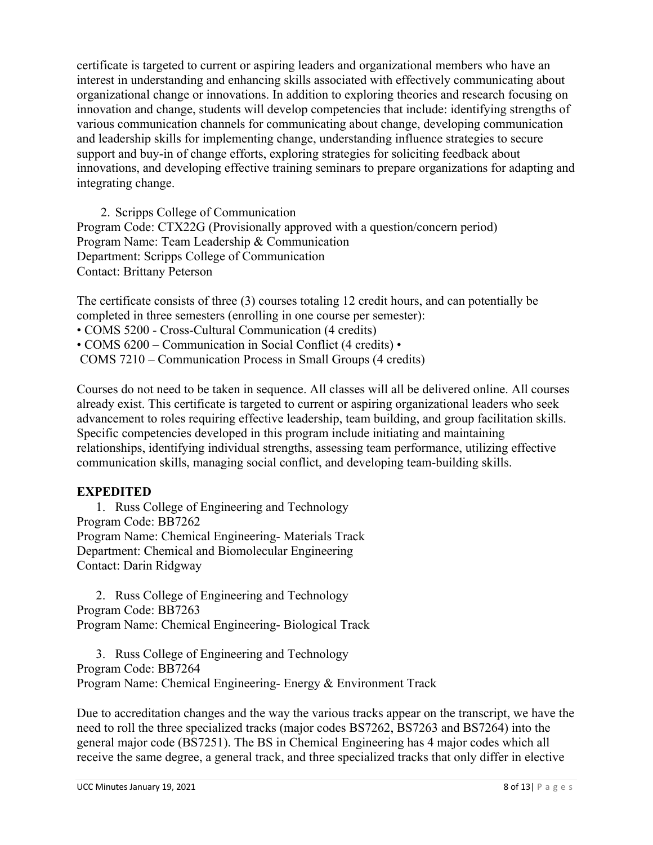certificate is targeted to current or aspiring leaders and organizational members who have an interest in understanding and enhancing skills associated with effectively communicating about organizational change or innovations. In addition to exploring theories and research focusing on innovation and change, students will develop competencies that include: identifying strengths of various communication channels for communicating about change, developing communication and leadership skills for implementing change, understanding influence strategies to secure support and buy-in of change efforts, exploring strategies for soliciting feedback about innovations, and developing effective training seminars to prepare organizations for adapting and integrating change.

2. Scripps College of Communication Program Code: CTX22G (Provisionally approved with a question/concern period) Program Name: Team Leadership & Communication Department: Scripps College of Communication Contact: Brittany Peterson

The certificate consists of three (3) courses totaling 12 credit hours, and can potentially be completed in three semesters (enrolling in one course per semester):

• COMS 5200 - Cross-Cultural Communication (4 credits)

• COMS 6200 – Communication in Social Conflict (4 credits) •

COMS 7210 – Communication Process in Small Groups (4 credits)

Courses do not need to be taken in sequence. All classes will all be delivered online. All courses already exist. This certificate is targeted to current or aspiring organizational leaders who seek advancement to roles requiring effective leadership, team building, and group facilitation skills. Specific competencies developed in this program include initiating and maintaining relationships, identifying individual strengths, assessing team performance, utilizing effective communication skills, managing social conflict, and developing team-building skills.

#### **EXPEDITED**

1. Russ College of Engineering and Technology Program Code: BB7262 Program Name: Chemical Engineering- Materials Track Department: Chemical and Biomolecular Engineering Contact: Darin Ridgway

2. Russ College of Engineering and Technology Program Code: BB7263 Program Name: Chemical Engineering- Biological Track

3. Russ College of Engineering and Technology Program Code: BB7264 Program Name: Chemical Engineering- Energy & Environment Track

Due to accreditation changes and the way the various tracks appear on the transcript, we have the need to roll the three specialized tracks (major codes BS7262, BS7263 and BS7264) into the general major code (BS7251). The BS in Chemical Engineering has 4 major codes which all receive the same degree, a general track, and three specialized tracks that only differ in elective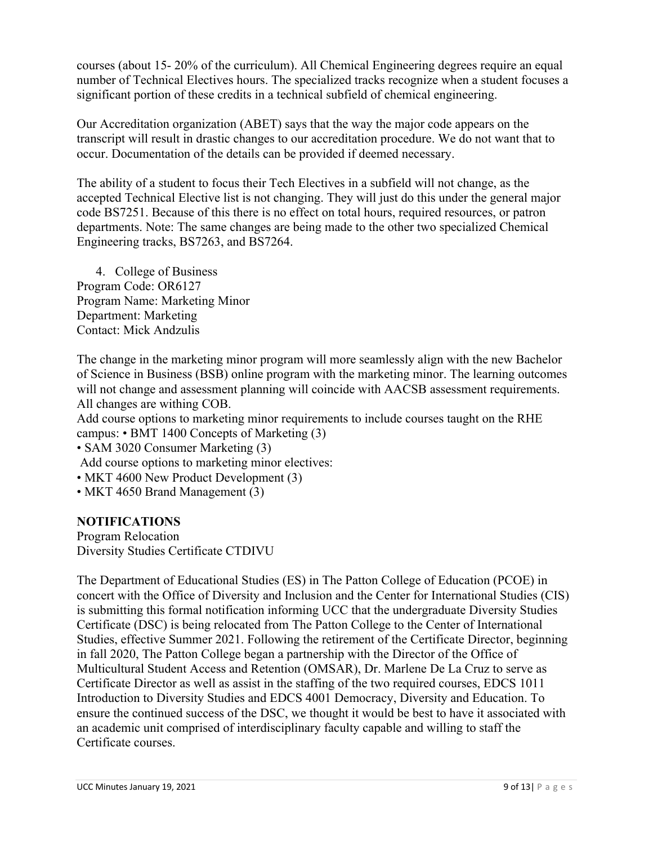courses (about 15- 20% of the curriculum). All Chemical Engineering degrees require an equal number of Technical Electives hours. The specialized tracks recognize when a student focuses a significant portion of these credits in a technical subfield of chemical engineering.

Our Accreditation organization (ABET) says that the way the major code appears on the transcript will result in drastic changes to our accreditation procedure. We do not want that to occur. Documentation of the details can be provided if deemed necessary.

The ability of a student to focus their Tech Electives in a subfield will not change, as the accepted Technical Elective list is not changing. They will just do this under the general major code BS7251. Because of this there is no effect on total hours, required resources, or patron departments. Note: The same changes are being made to the other two specialized Chemical Engineering tracks, BS7263, and BS7264.

4. College of Business Program Code: OR6127 Program Name: Marketing Minor Department: Marketing Contact: Mick Andzulis

The change in the marketing minor program will more seamlessly align with the new Bachelor of Science in Business (BSB) online program with the marketing minor. The learning outcomes will not change and assessment planning will coincide with AACSB assessment requirements. All changes are withing COB.

Add course options to marketing minor requirements to include courses taught on the RHE campus: • BMT 1400 Concepts of Marketing (3)

• SAM 3020 Consumer Marketing (3)

Add course options to marketing minor electives:

- MKT 4600 New Product Development (3)
- MKT 4650 Brand Management (3)

#### **NOTIFICATIONS**

Program Relocation Diversity Studies Certificate CTDIVU

The Department of Educational Studies (ES) in The Patton College of Education (PCOE) in concert with the Office of Diversity and Inclusion and the Center for International Studies (CIS) is submitting this formal notification informing UCC that the undergraduate Diversity Studies Certificate (DSC) is being relocated from The Patton College to the Center of International Studies, effective Summer 2021. Following the retirement of the Certificate Director, beginning in fall 2020, The Patton College began a partnership with the Director of the Office of Multicultural Student Access and Retention (OMSAR), Dr. Marlene De La Cruz to serve as Certificate Director as well as assist in the staffing of the two required courses, EDCS 1011 Introduction to Diversity Studies and EDCS 4001 Democracy, Diversity and Education. To ensure the continued success of the DSC, we thought it would be best to have it associated with an academic unit comprised of interdisciplinary faculty capable and willing to staff the Certificate courses.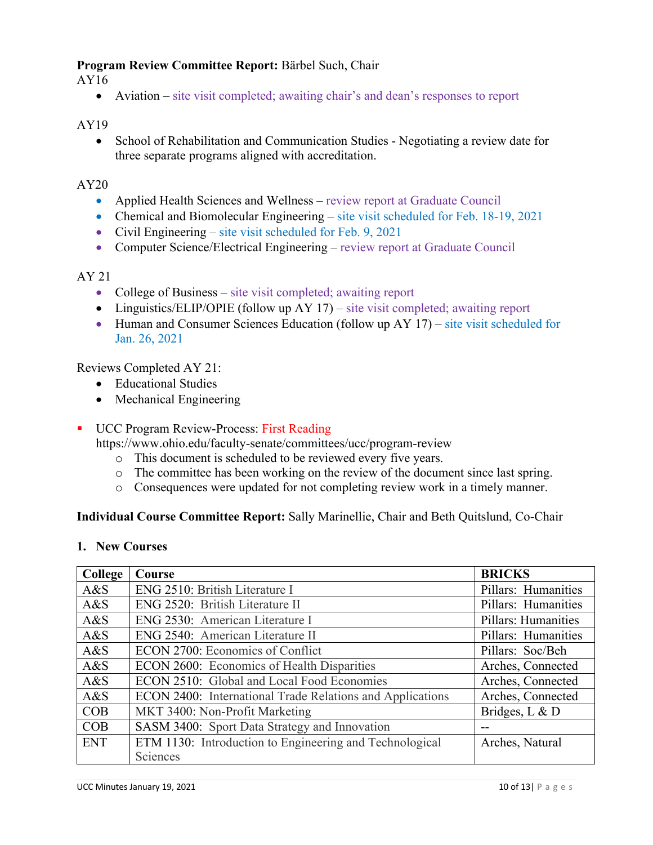#### **Program Review Committee Report:** Bärbel Such, Chair

AY16

• Aviation – site visit completed; awaiting chair's and dean's responses to report

#### AY19

• School of Rehabilitation and Communication Studies - Negotiating a review date for three separate programs aligned with accreditation.

#### AY20

- Applied Health Sciences and Wellness review report at Graduate Council
- Chemical and Biomolecular Engineering site visit scheduled for Feb. 18-19, 2021
- Civil Engineering site visit scheduled for Feb. 9, 2021
- Computer Science/Electrical Engineering review report at Graduate Council

#### AY 21

- College of Business site visit completed; awaiting report
- Linguistics/ELIP/OPIE (follow up AY 17) site visit completed; awaiting report
- Human and Consumer Sciences Education (follow up AY 17) site visit scheduled for Jan. 26, 2021

#### Reviews Completed AY 21:

- Educational Studies
- Mechanical Engineering
- UCC Program Review-Process: First Reading

https://www.ohio.edu/faculty-senate/committees/ucc/program-review

- o This document is scheduled to be reviewed every five years.
- o The committee has been working on the review of the document since last spring.
- o Consequences were updated for not completing review work in a timely manner.

#### **Individual Course Committee Report:** Sally Marinellie, Chair and Beth Quitslund, Co-Chair

#### **1. New Courses**

| College    | Course                                                    | <b>BRICKS</b>       |
|------------|-----------------------------------------------------------|---------------------|
| A&S        | ENG 2510: British Literature I                            | Pillars: Humanities |
| A&S        | ENG 2520: British Literature II                           | Pillars: Humanities |
| A&S        | ENG 2530: American Literature I                           | Pillars: Humanities |
| A&S        | ENG 2540: American Literature II                          | Pillars: Humanities |
| A&S        | ECON 2700: Economics of Conflict                          | Pillars: Soc/Beh    |
| A&S        | ECON 2600: Economics of Health Disparities                | Arches, Connected   |
| A&S        | ECON 2510: Global and Local Food Economies                | Arches, Connected   |
| A&S        | ECON 2400: International Trade Relations and Applications | Arches, Connected   |
| COB        | MKT 3400: Non-Profit Marketing                            | Bridges, L & D      |
| COB        | SASM 3400: Sport Data Strategy and Innovation             | --                  |
| <b>ENT</b> | ETM 1130: Introduction to Engineering and Technological   | Arches, Natural     |
|            | Sciences                                                  |                     |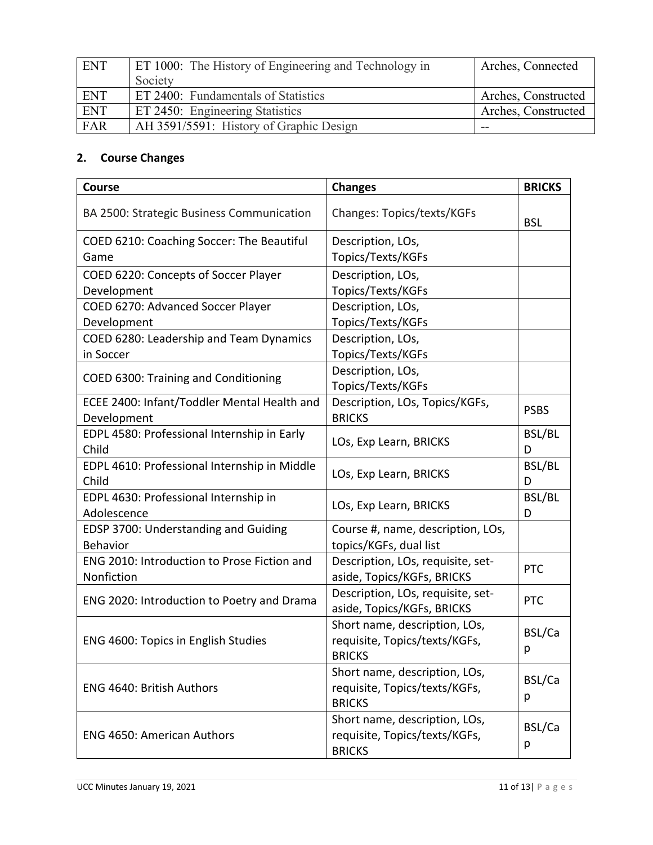| <b>ENT</b> | ET 1000: The History of Engineering and Technology in | Arches, Connected   |
|------------|-------------------------------------------------------|---------------------|
|            | Society                                               |                     |
| <b>ENT</b> | ET 2400: Fundamentals of Statistics                   | Arches, Constructed |
| <b>ENT</b> | ET 2450: Engineering Statistics                       | Arches, Constructed |
| FAR        | AH 3591/5591: History of Graphic Design               | --                  |

# **2. Course Changes**

| <b>Course</b>                                | <b>Changes</b>                                                  | <b>BRICKS</b> |
|----------------------------------------------|-----------------------------------------------------------------|---------------|
| BA 2500: Strategic Business Communication    | Changes: Topics/texts/KGFs                                      | <b>BSL</b>    |
| COED 6210: Coaching Soccer: The Beautiful    | Description, LOs,                                               |               |
| Game                                         | Topics/Texts/KGFs                                               |               |
| COED 6220: Concepts of Soccer Player         | Description, LOs,                                               |               |
| Development                                  | Topics/Texts/KGFs                                               |               |
| COED 6270: Advanced Soccer Player            | Description, LOs,                                               |               |
| Development                                  | Topics/Texts/KGFs                                               |               |
| COED 6280: Leadership and Team Dynamics      | Description, LOs,                                               |               |
| in Soccer                                    | Topics/Texts/KGFs                                               |               |
| COED 6300: Training and Conditioning         | Description, LOs,<br>Topics/Texts/KGFs                          |               |
| ECEE 2400: Infant/Toddler Mental Health and  | Description, LOs, Topics/KGFs,                                  | <b>PSBS</b>   |
| Development                                  | <b>BRICKS</b>                                                   |               |
| EDPL 4580: Professional Internship in Early  | LOs, Exp Learn, BRICKS                                          | BSL/BL        |
| Child                                        |                                                                 | D             |
| EDPL 4610: Professional Internship in Middle | LOs, Exp Learn, BRICKS                                          | BSL/BL        |
| Child                                        |                                                                 | D             |
| EDPL 4630: Professional Internship in        | LOs, Exp Learn, BRICKS                                          | BSL/BL        |
| Adolescence                                  |                                                                 | D             |
| EDSP 3700: Understanding and Guiding         | Course #, name, description, LOs,                               |               |
| <b>Behavior</b>                              | topics/KGFs, dual list                                          |               |
| ENG 2010: Introduction to Prose Fiction and  | Description, LOs, requisite, set-                               | <b>PTC</b>    |
| Nonfiction                                   | aside, Topics/KGFs, BRICKS                                      |               |
| ENG 2020: Introduction to Poetry and Drama   | Description, LOs, requisite, set-<br>aside, Topics/KGFs, BRICKS | <b>PTC</b>    |
|                                              | Short name, description, LOs,                                   | BSL/Ca        |
| ENG 4600: Topics in English Studies          | requisite, Topics/texts/KGFs,                                   |               |
|                                              | <b>BRICKS</b>                                                   | р             |
|                                              | Short name, description, LOs,                                   | BSL/Ca        |
| ENG 4640: British Authors                    | requisite, Topics/texts/KGFs,                                   |               |
|                                              | <b>BRICKS</b>                                                   | p             |
|                                              | Short name, description, LOs,                                   | BSL/Ca        |
| <b>ENG 4650: American Authors</b>            | requisite, Topics/texts/KGFs,                                   |               |
|                                              | <b>BRICKS</b>                                                   | р             |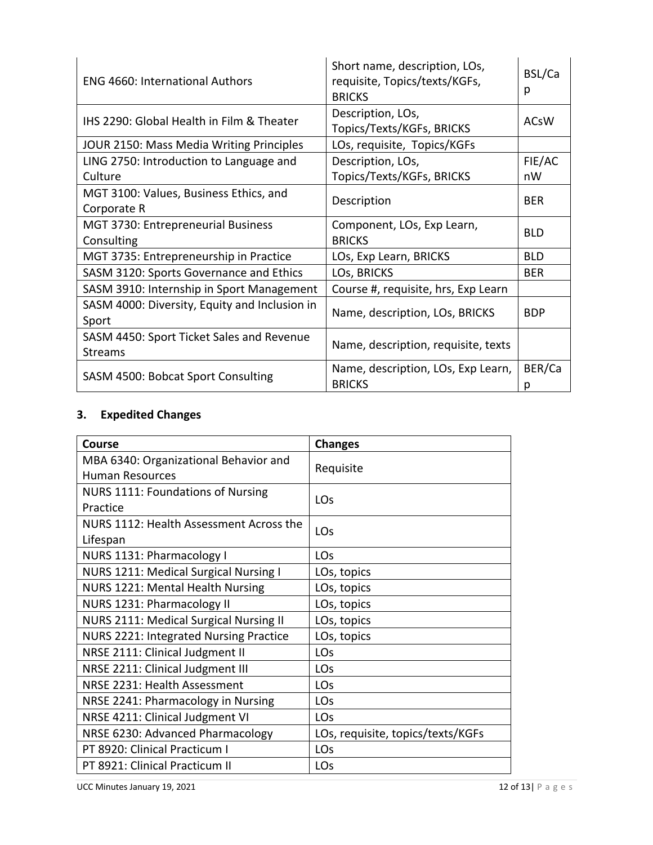| <b>ENG 4660: International Authors</b>                      | Short name, description, LOs,<br>requisite, Topics/texts/KGFs,<br><b>BRICKS</b> | BSL/Ca<br>р |
|-------------------------------------------------------------|---------------------------------------------------------------------------------|-------------|
| IHS 2290: Global Health in Film & Theater                   | Description, LOs,<br>Topics/Texts/KGFs, BRICKS                                  | <b>ACsW</b> |
| JOUR 2150: Mass Media Writing Principles                    | LOs, requisite, Topics/KGFs                                                     |             |
| LING 2750: Introduction to Language and                     | Description, LOs,                                                               | FIE/AC      |
| Culture                                                     | Topics/Texts/KGFs, BRICKS                                                       | nW          |
| MGT 3100: Values, Business Ethics, and<br>Corporate R       | Description                                                                     | <b>BER</b>  |
| MGT 3730: Entrepreneurial Business<br>Consulting            | Component, LOs, Exp Learn,<br><b>BRICKS</b>                                     | <b>BLD</b>  |
| MGT 3735: Entrepreneurship in Practice                      | LOs, Exp Learn, BRICKS                                                          | <b>BLD</b>  |
| SASM 3120: Sports Governance and Ethics                     | LOS, BRICKS                                                                     | <b>BER</b>  |
| SASM 3910: Internship in Sport Management                   | Course #, requisite, hrs, Exp Learn                                             |             |
| SASM 4000: Diversity, Equity and Inclusion in<br>Sport      | Name, description, LOs, BRICKS                                                  | <b>BDP</b>  |
| SASM 4450: Sport Ticket Sales and Revenue<br><b>Streams</b> | Name, description, requisite, texts                                             |             |
| SASM 4500: Bobcat Sport Consulting                          | Name, description, LOs, Exp Learn,<br><b>BRICKS</b>                             | BER/Ca<br>р |

# **3. Expedited Changes**

| Course                                        | <b>Changes</b>                    |  |
|-----------------------------------------------|-----------------------------------|--|
| MBA 6340: Organizational Behavior and         | Requisite                         |  |
| <b>Human Resources</b>                        |                                   |  |
| NURS 1111: Foundations of Nursing             | <b>LOs</b>                        |  |
| Practice                                      |                                   |  |
| NURS 1112: Health Assessment Across the       | <b>LO<sub>S</sub></b>             |  |
| Lifespan                                      |                                   |  |
| NURS 1131: Pharmacology I                     | LOs                               |  |
| NURS 1211: Medical Surgical Nursing I         | LOs, topics                       |  |
| NURS 1221: Mental Health Nursing              | LOs, topics                       |  |
| NURS 1231: Pharmacology II                    | LOs, topics                       |  |
| <b>NURS 2111: Medical Surgical Nursing II</b> | LOs, topics                       |  |
| NURS 2221: Integrated Nursing Practice        | LOs, topics                       |  |
| NRSE 2111: Clinical Judgment II               | LOs                               |  |
| NRSE 2211: Clinical Judgment III              | LOs                               |  |
| NRSE 2231: Health Assessment                  | LOs                               |  |
| NRSE 2241: Pharmacology in Nursing            | LOs                               |  |
| NRSE 4211: Clinical Judgment VI               | <b>LO<sub>S</sub></b>             |  |
| NRSE 6230: Advanced Pharmacology              | LOs, requisite, topics/texts/KGFs |  |
| PT 8920: Clinical Practicum I                 | LOs                               |  |
| PT 8921: Clinical Practicum II                | LOs                               |  |